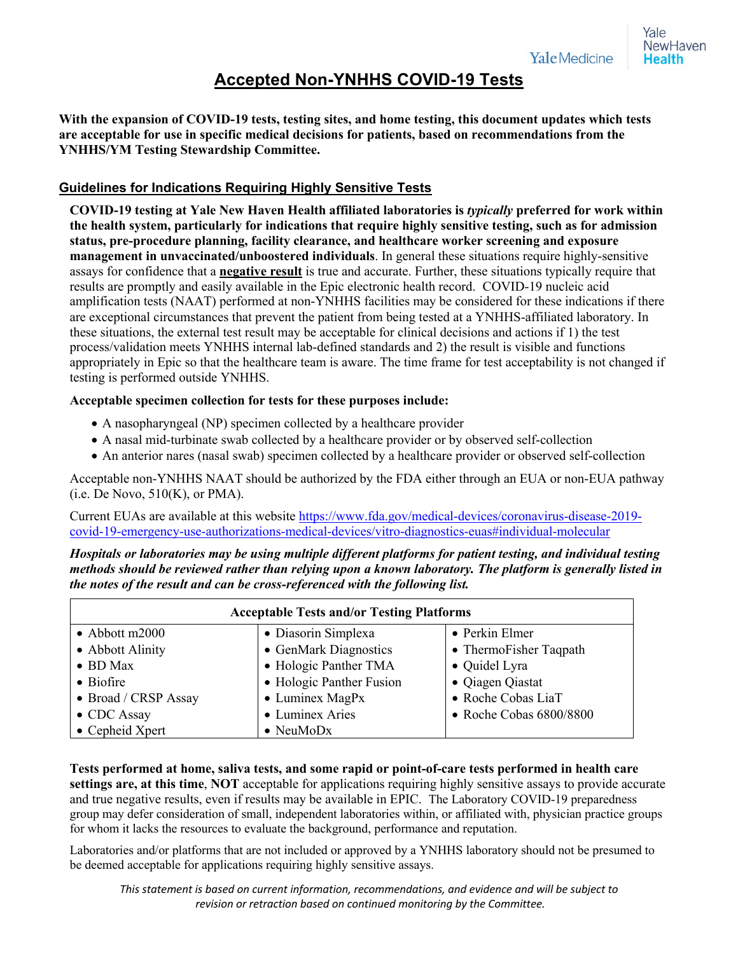## **Accepted Non-YNHHS COVID-19 Tests**

**With the expansion of COVID-19 tests, testing sites, and home testing, this document updates which tests are acceptable for use in specific medical decisions for patients, based on recommendations from the YNHHS/YM Testing Stewardship Committee.**

## **Guidelines for Indications Requiring Highly Sensitive Tests**

**COVID-19 testing at Yale New Haven Health affiliated laboratories is** *typically* **preferred for work within the health system, particularly for indications that require highly sensitive testing, such as for admission status, pre-procedure planning, facility clearance, and healthcare worker screening and exposure management in unvaccinated/unboostered individuals**. In general these situations require highly-sensitive assays for confidence that a **negative result** is true and accurate. Further, these situations typically require that results are promptly and easily available in the Epic electronic health record. COVID-19 nucleic acid amplification tests (NAAT) performed at non-YNHHS facilities may be considered for these indications if there are exceptional circumstances that prevent the patient from being tested at a YNHHS-affiliated laboratory. In these situations, the external test result may be acceptable for clinical decisions and actions if 1) the test process/validation meets YNHHS internal lab-defined standards and 2) the result is visible and functions appropriately in Epic so that the healthcare team is aware. The time frame for test acceptability is not changed if testing is performed outside YNHHS.

## **Acceptable specimen collection for tests for these purposes include:**

- A nasopharyngeal (NP) specimen collected by a healthcare provider
- A nasal mid-turbinate swab collected by a healthcare provider or by observed self-collection
- An anterior nares (nasal swab) specimen collected by a healthcare provider or observed self-collection

Acceptable non-YNHHS NAAT should be authorized by the FDA either through an EUA or non-EUA pathway  $(i.e. De Novo, 510(K), or PMA).$ 

Current EUAs are available at this website https://www.fda.gov/medical-devices/coronavirus-disease-2019 covid-19-emergency-use-authorizations-medical-devices/vitro-diagnostics-euas#individual-molecular

*Hospitals or laboratories may be using multiple different platforms for patient testing, and individual testing methods should be reviewed rather than relying upon a known laboratory. The platform is generally listed in the notes of the result and can be cross-referenced with the following list.*

| <b>Acceptable Tests and/or Testing Platforms</b> |                          |                         |
|--------------------------------------------------|--------------------------|-------------------------|
| $\bullet$ Abbott m2000                           | • Diasorin Simplexa      | • Perkin Elmer          |
| • Abbott Alinity                                 | • GenMark Diagnostics    | • ThermoFisher Taqpath  |
| $\bullet$ BD Max                                 | • Hologic Panther TMA    | • Quidel Lyra           |
| $\bullet$ Biofire                                | • Hologic Panther Fusion | • Qiagen Qiastat        |
| • Broad / CRSP Assay                             | $\bullet$ Luminex MagPx  | • Roche Cobas LiaT      |
| • CDC Assay                                      | • Luminex Aries          | • Roche Cobas 6800/8800 |
| • Cepheid Xpert                                  | $\bullet$ NeuMoDx        |                         |

**Tests performed at home, saliva tests, and some rapid or point-of-care tests performed in health care settings are, at this time**, **NOT** acceptable for applications requiring highly sensitive assays to provide accurate and true negative results, even if results may be available in EPIC. The Laboratory COVID-19 preparedness group may defer consideration of small, independent laboratories within, or affiliated with, physician practice groups for whom it lacks the resources to evaluate the background, performance and reputation.

Laboratories and/or platforms that are not included or approved by a YNHHS laboratory should not be presumed to be deemed acceptable for applications requiring highly sensitive assays.

*This statement is based on current information, recommendations, and evidence and will be subject to revision or retraction based on continued monitoring by the Committee.*